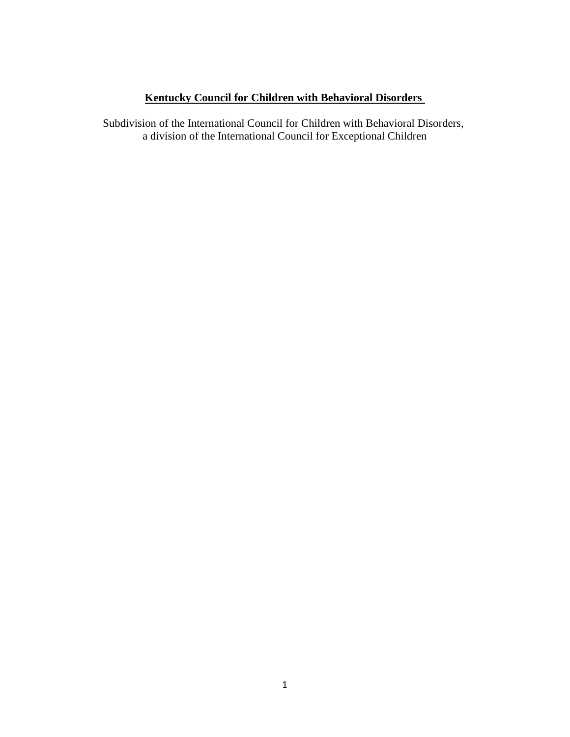# **Kentucky Council for Children with Behavioral Disorders**

Subdivision of the International Council for Children with Behavioral Disorders, a division of the International Council for Exceptional Children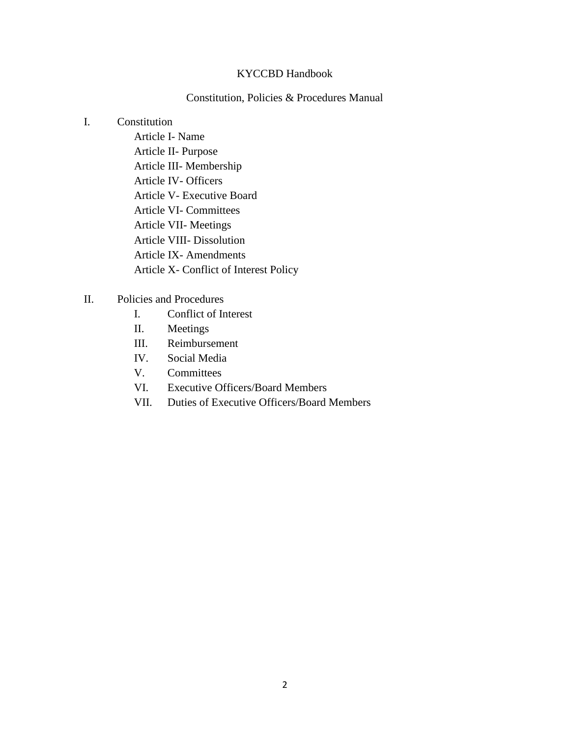### KYCCBD Handbook

## Constitution, Policies & Procedures Manual

### I. Constitution

- Article I- Name Article II- Purpose Article III- Membership Article IV- Officers Article V- Executive Board Article VI- Committees Article VII- Meetings Article VIII- Dissolution Article IX- Amendments Article X- Conflict of Interest Policy
- II. Policies and Procedures
	- I. Conflict of Interest
	- II. Meetings
	- III. Reimbursement
	- IV. Social Media
	- V. Committees
	- VI. Executive Officers/Board Members
	- VII. Duties of Executive Officers/Board Members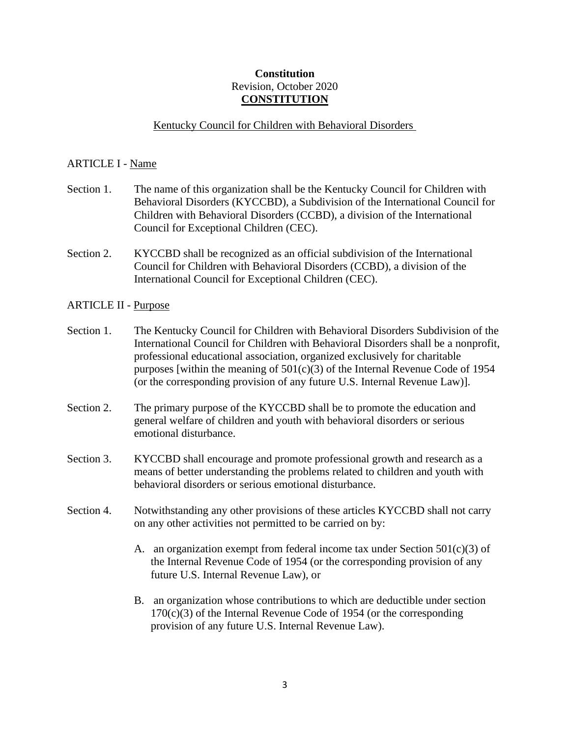# **Constitution** Revision, October 2020 **CONSTITUTION**

### Kentucky Council for Children with Behavioral Disorders

#### ARTICLE I - Name

- Section 1. The name of this organization shall be the Kentucky Council for Children with Behavioral Disorders (KYCCBD), a Subdivision of the International Council for Children with Behavioral Disorders (CCBD), a division of the International Council for Exceptional Children (CEC).
- Section 2. KYCCBD shall be recognized as an official subdivision of the International Council for Children with Behavioral Disorders (CCBD), a division of the International Council for Exceptional Children (CEC).

#### ARTICLE II - Purpose

- Section 1. The Kentucky Council for Children with Behavioral Disorders Subdivision of the International Council for Children with Behavioral Disorders shall be a nonprofit, professional educational association, organized exclusively for charitable purposes [within the meaning of  $501(c)(3)$  of the Internal Revenue Code of 1954 (or the corresponding provision of any future U.S. Internal Revenue Law)].
- Section 2. The primary purpose of the KYCCBD shall be to promote the education and general welfare of children and youth with behavioral disorders or serious emotional disturbance.
- Section 3. KYCCBD shall encourage and promote professional growth and research as a means of better understanding the problems related to children and youth with behavioral disorders or serious emotional disturbance.
- Section 4. Notwithstanding any other provisions of these articles KYCCBD shall not carry on any other activities not permitted to be carried on by:
	- A. an organization exempt from federal income tax under Section  $501(c)(3)$  of the Internal Revenue Code of 1954 (or the corresponding provision of any future U.S. Internal Revenue Law), or
	- B. an organization whose contributions to which are deductible under section 170(c)(3) of the Internal Revenue Code of 1954 (or the corresponding provision of any future U.S. Internal Revenue Law).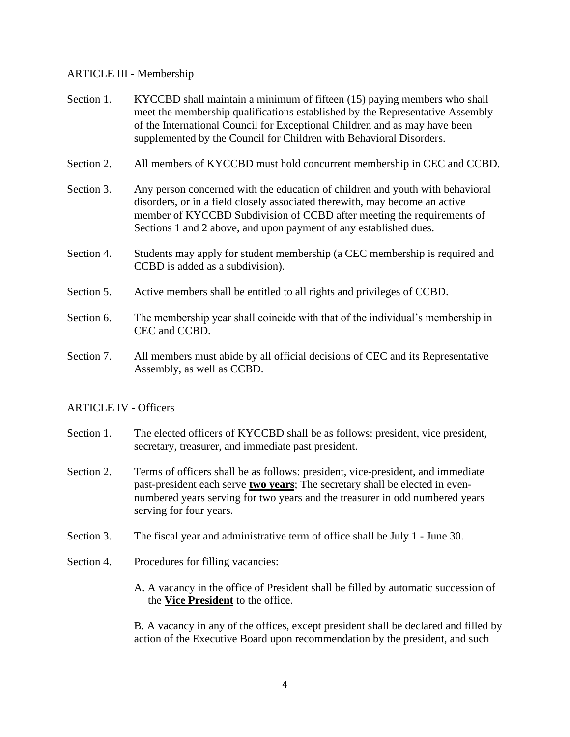## ARTICLE III - Membership

- Section 1. KYCCBD shall maintain a minimum of fifteen (15) paying members who shall meet the membership qualifications established by the Representative Assembly of the International Council for Exceptional Children and as may have been supplemented by the Council for Children with Behavioral Disorders.
- Section 2. All members of KYCCBD must hold concurrent membership in CEC and CCBD.
- Section 3. Any person concerned with the education of children and youth with behavioral disorders, or in a field closely associated therewith, may become an active member of KYCCBD Subdivision of CCBD after meeting the requirements of Sections 1 and 2 above, and upon payment of any established dues.
- Section 4. Students may apply for student membership (a CEC membership is required and CCBD is added as a subdivision).
- Section 5. Active members shall be entitled to all rights and privileges of CCBD.
- Section 6. The membership year shall coincide with that of the individual's membership in CEC and CCBD.
- Section 7. All members must abide by all official decisions of CEC and its Representative Assembly, as well as CCBD.

### ARTICLE IV - Officers

- Section 1. The elected officers of KYCCBD shall be as follows: president, vice president, secretary, treasurer, and immediate past president.
- Section 2. Terms of officers shall be as follows: president, vice-president, and immediate past-president each serve **two years**; The secretary shall be elected in evennumbered years serving for two years and the treasurer in odd numbered years serving for four years.
- Section 3. The fiscal year and administrative term of office shall be July 1 June 30.
- Section 4. Procedures for filling vacancies:
	- A. A vacancy in the office of President shall be filled by automatic succession of the **Vice President** to the office.

B. A vacancy in any of the offices, except president shall be declared and filled by action of the Executive Board upon recommendation by the president, and such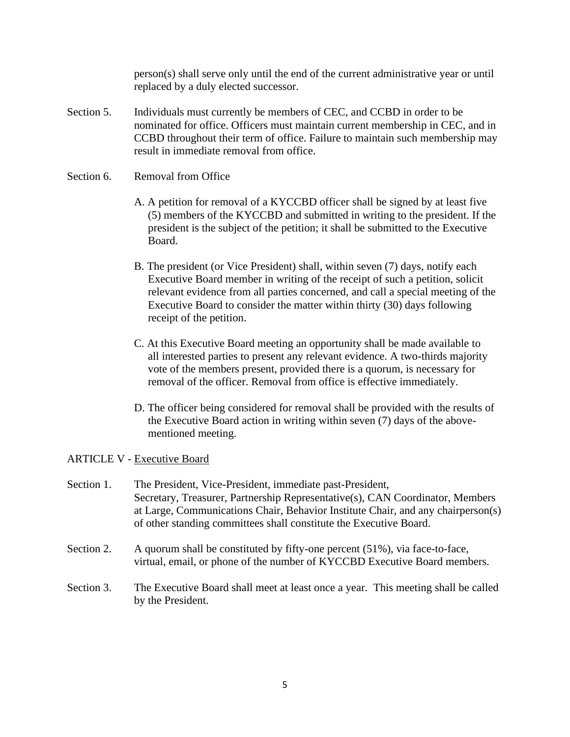person(s) shall serve only until the end of the current administrative year or until replaced by a duly elected successor.

Section 5. Individuals must currently be members of CEC, and CCBD in order to be nominated for office. Officers must maintain current membership in CEC, and in CCBD throughout their term of office. Failure to maintain such membership may result in immediate removal from office.

### Section 6. Removal from Office

- A. A petition for removal of a KYCCBD officer shall be signed by at least five (5) members of the KYCCBD and submitted in writing to the president. If the president is the subject of the petition; it shall be submitted to the Executive Board.
- B. The president (or Vice President) shall, within seven (7) days, notify each Executive Board member in writing of the receipt of such a petition, solicit relevant evidence from all parties concerned, and call a special meeting of the Executive Board to consider the matter within thirty (30) days following receipt of the petition.
- C. At this Executive Board meeting an opportunity shall be made available to all interested parties to present any relevant evidence. A two-thirds majority vote of the members present, provided there is a quorum, is necessary for removal of the officer. Removal from office is effective immediately.
- D. The officer being considered for removal shall be provided with the results of the Executive Board action in writing within seven (7) days of the above mentioned meeting.

# ARTICLE V - Executive Board

- Section 1. The President, Vice-President, immediate past-President, Secretary, Treasurer, Partnership Representative(s), CAN Coordinator, Members at Large, Communications Chair, Behavior Institute Chair, and any chairperson(s) of other standing committees shall constitute the Executive Board.
- Section 2. A quorum shall be constituted by fifty-one percent (51%), via face-to-face, virtual, email, or phone of the number of KYCCBD Executive Board members.
- Section 3. The Executive Board shall meet at least once a year. This meeting shall be called by the President.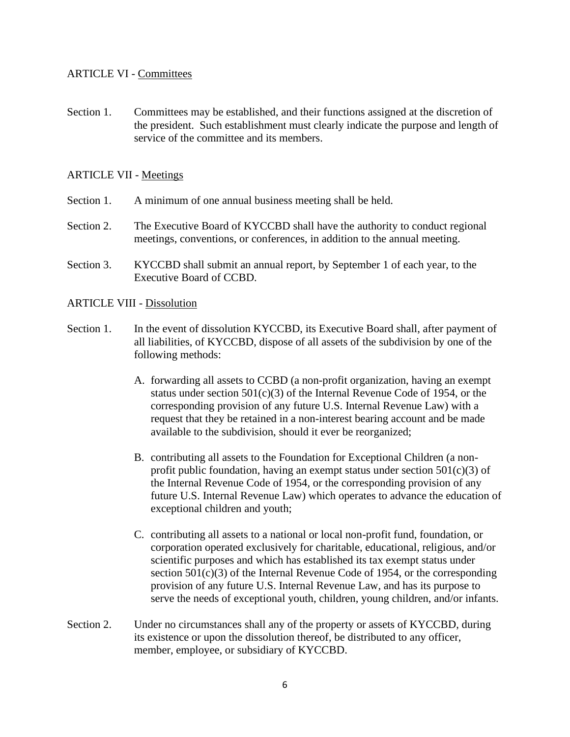## ARTICLE VI - Committees

Section 1. Committees may be established, and their functions assigned at the discretion of the president. Such establishment must clearly indicate the purpose and length of service of the committee and its members.

### ARTICLE VII - Meetings

- Section 1. A minimum of one annual business meeting shall be held.
- Section 2. The Executive Board of KYCCBD shall have the authority to conduct regional meetings, conventions, or conferences, in addition to the annual meeting.
- Section 3. KYCCBD shall submit an annual report, by September 1 of each year, to the Executive Board of CCBD.

#### ARTICLE VIII - Dissolution

- Section 1. In the event of dissolution KYCCBD, its Executive Board shall, after payment of all liabilities, of KYCCBD, dispose of all assets of the subdivision by one of the following methods:
	- A. forwarding all assets to CCBD (a non-profit organization, having an exempt status under section  $501(c)(3)$  of the Internal Revenue Code of 1954, or the corresponding provision of any future U.S. Internal Revenue Law) with a request that they be retained in a non-interest bearing account and be made available to the subdivision, should it ever be reorganized;
	- B. contributing all assets to the Foundation for Exceptional Children (a nonprofit public foundation, having an exempt status under section  $501(c)(3)$  of the Internal Revenue Code of 1954, or the corresponding provision of any future U.S. Internal Revenue Law) which operates to advance the education of exceptional children and youth;
	- C. contributing all assets to a national or local non-profit fund, foundation, or corporation operated exclusively for charitable, educational, religious, and/or scientific purposes and which has established its tax exempt status under section 501(c)(3) of the Internal Revenue Code of 1954, or the corresponding provision of any future U.S. Internal Revenue Law, and has its purpose to serve the needs of exceptional youth, children, young children, and/or infants.
- Section 2. Under no circumstances shall any of the property or assets of KYCCBD, during its existence or upon the dissolution thereof, be distributed to any officer, member, employee, or subsidiary of KYCCBD.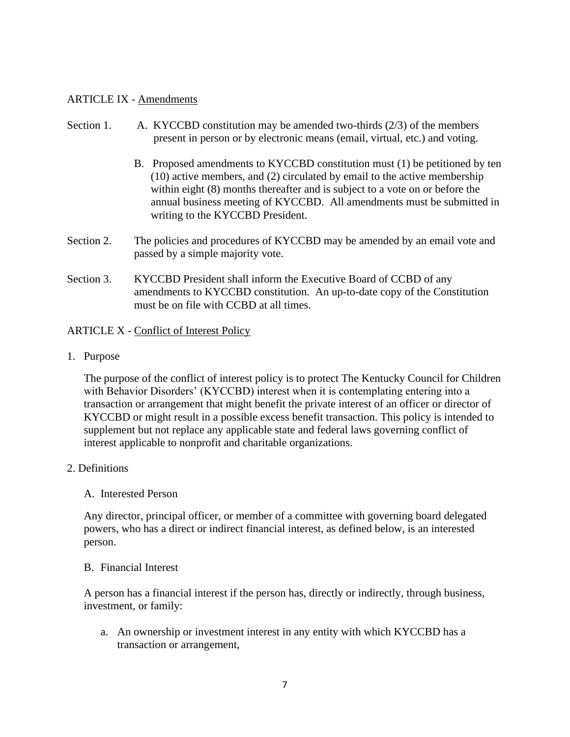### ARTICLE IX - Amendments

## Section 1. A. KYCCBD constitution may be amended two-thirds  $(2/3)$  of the members present in person or by electronic means (email, virtual, etc.) and voting.

- B. Proposed amendments to KYCCBD constitution must (1) be petitioned by ten (10) active members, and (2) circulated by email to the active membership within eight (8) months thereafter and is subject to a vote on or before the annual business meeting of KYCCBD. All amendments must be submitted in writing to the KYCCBD President.
- Section 2. The policies and procedures of KYCCBD may be amended by an email vote and passed by a simple majority vote.
- Section 3. KYCCBD President shall inform the Executive Board of CCBD of any amendments to KYCCBD constitution. An up-to-date copy of the Constitution must be on file with CCBD at all times.

## ARTICLE X - Conflict of Interest Policy

1. Purpose

The purpose of the conflict of interest policy is to protect The Kentucky Council for Children with Behavior Disorders' (KYCCBD) interest when it is contemplating entering into a transaction or arrangement that might benefit the private interest of an officer or director of KYCCBD or might result in a possible excess benefit transaction. This policy is intended to supplement but not replace any applicable state and federal laws governing conflict of interest applicable to nonprofit and charitable organizations.

- 2. Definitions
	- A. Interested Person

Any director, principal officer, or member of a committee with governing board delegated powers, who has a direct or indirect financial interest, as defined below, is an interested person.

### B. Financial Interest

A person has a financial interest if the person has, directly or indirectly, through business, investment, or family:

a. An ownership or investment interest in any entity with which KYCCBD has a transaction or arrangement,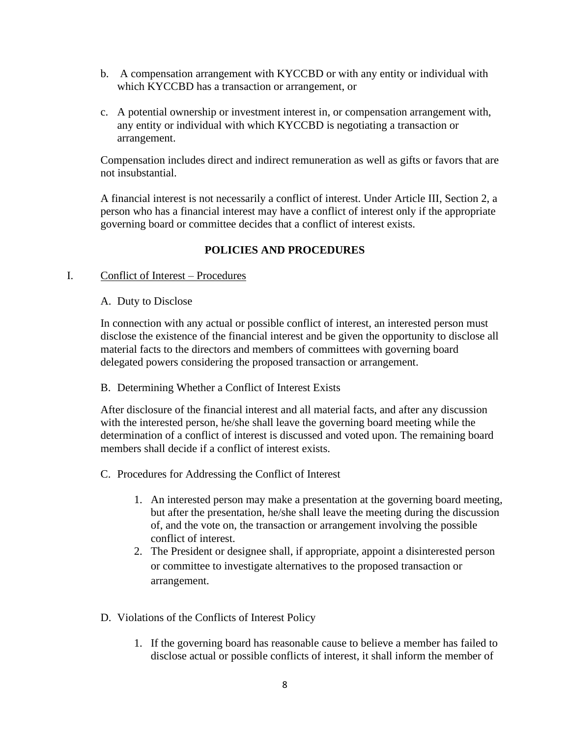- b. A compensation arrangement with KYCCBD or with any entity or individual with which KYCCBD has a transaction or arrangement, or
- c. A potential ownership or investment interest in, or compensation arrangement with, any entity or individual with which KYCCBD is negotiating a transaction or arrangement.

Compensation includes direct and indirect remuneration as well as gifts or favors that are not insubstantial.

A financial interest is not necessarily a conflict of interest. Under Article III, Section 2, a person who has a financial interest may have a conflict of interest only if the appropriate governing board or committee decides that a conflict of interest exists.

# **POLICIES AND PROCEDURES**

### I. Conflict of Interest – Procedures

#### A. Duty to Disclose

In connection with any actual or possible conflict of interest, an interested person must disclose the existence of the financial interest and be given the opportunity to disclose all material facts to the directors and members of committees with governing board delegated powers considering the proposed transaction or arrangement.

### B. Determining Whether a Conflict of Interest Exists

After disclosure of the financial interest and all material facts, and after any discussion with the interested person, he/she shall leave the governing board meeting while the determination of a conflict of interest is discussed and voted upon. The remaining board members shall decide if a conflict of interest exists.

### C. Procedures for Addressing the Conflict of Interest

- 1. An interested person may make a presentation at the governing board meeting, but after the presentation, he/she shall leave the meeting during the discussion of, and the vote on, the transaction or arrangement involving the possible conflict of interest.
- 2. The President or designee shall, if appropriate, appoint a disinterested person or committee to investigate alternatives to the proposed transaction or arrangement.
- D. Violations of the Conflicts of Interest Policy
	- 1. If the governing board has reasonable cause to believe a member has failed to disclose actual or possible conflicts of interest, it shall inform the member of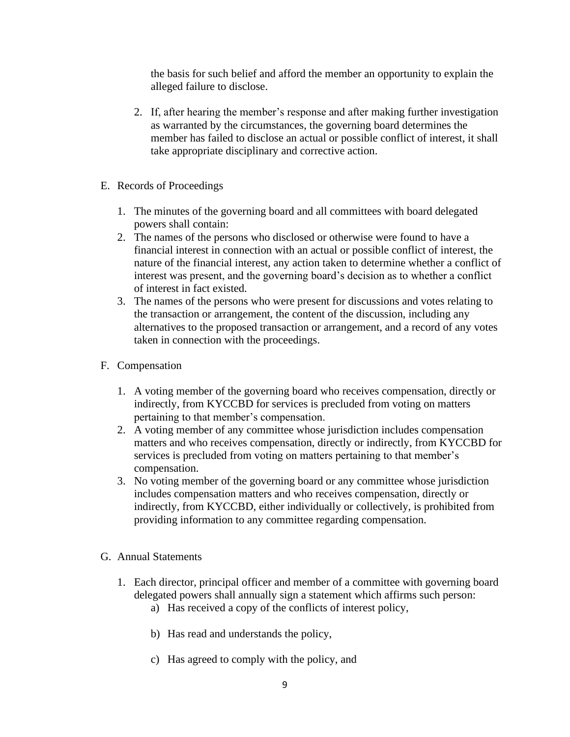the basis for such belief and afford the member an opportunity to explain the alleged failure to disclose.

- 2. If, after hearing the member's response and after making further investigation as warranted by the circumstances, the governing board determines the member has failed to disclose an actual or possible conflict of interest, it shall take appropriate disciplinary and corrective action.
- E. Records of Proceedings
	- 1. The minutes of the governing board and all committees with board delegated powers shall contain:
	- 2. The names of the persons who disclosed or otherwise were found to have a financial interest in connection with an actual or possible conflict of interest, the nature of the financial interest, any action taken to determine whether a conflict of interest was present, and the governing board's decision as to whether a conflict of interest in fact existed.
	- 3. The names of the persons who were present for discussions and votes relating to the transaction or arrangement, the content of the discussion, including any alternatives to the proposed transaction or arrangement, and a record of any votes taken in connection with the proceedings.
- F. Compensation
	- 1. A voting member of the governing board who receives compensation, directly or indirectly, from KYCCBD for services is precluded from voting on matters pertaining to that member's compensation.
	- 2. A voting member of any committee whose jurisdiction includes compensation matters and who receives compensation, directly or indirectly, from KYCCBD for services is precluded from voting on matters pertaining to that member's compensation.
	- 3. No voting member of the governing board or any committee whose jurisdiction includes compensation matters and who receives compensation, directly or indirectly, from KYCCBD, either individually or collectively, is prohibited from providing information to any committee regarding compensation.
- G. Annual Statements
	- 1. Each director, principal officer and member of a committee with governing board delegated powers shall annually sign a statement which affirms such person:
		- a) Has received a copy of the conflicts of interest policy,
		- b) Has read and understands the policy,
		- c) Has agreed to comply with the policy, and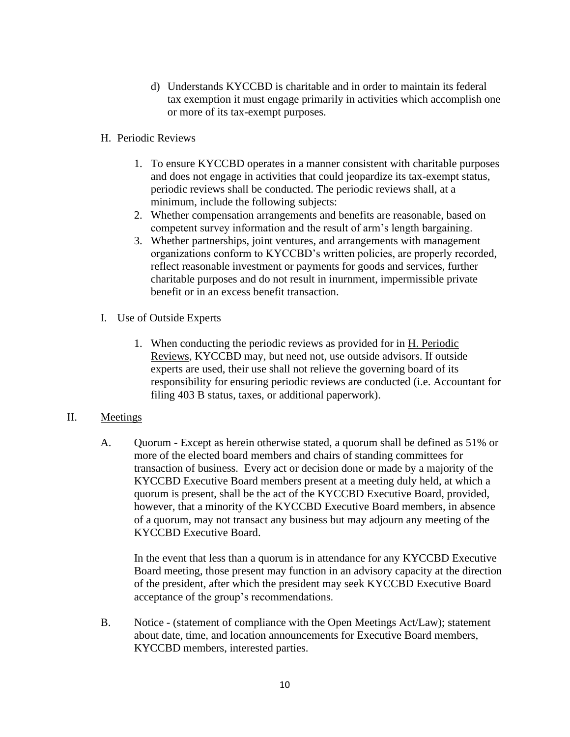- d) Understands KYCCBD is charitable and in order to maintain its federal tax exemption it must engage primarily in activities which accomplish one or more of its tax-exempt purposes.
- H. Periodic Reviews
	- 1. To ensure KYCCBD operates in a manner consistent with charitable purposes and does not engage in activities that could jeopardize its tax-exempt status, periodic reviews shall be conducted. The periodic reviews shall, at a minimum, include the following subjects:
	- 2. Whether compensation arrangements and benefits are reasonable, based on competent survey information and the result of arm's length bargaining.
	- 3. Whether partnerships, joint ventures, and arrangements with management organizations conform to KYCCBD's written policies, are properly recorded, reflect reasonable investment or payments for goods and services, further charitable purposes and do not result in inurnment, impermissible private benefit or in an excess benefit transaction.
- I. Use of Outside Experts
	- 1. When conducting the periodic reviews as provided for in H. Periodic Reviews, KYCCBD may, but need not, use outside advisors. If outside experts are used, their use shall not relieve the governing board of its responsibility for ensuring periodic reviews are conducted (i.e. Accountant for filing 403 B status, taxes, or additional paperwork).

### II. Meetings

A. Quorum - Except as herein otherwise stated, a quorum shall be defined as 51% or more of the elected board members and chairs of standing committees for transaction of business. Every act or decision done or made by a majority of the KYCCBD Executive Board members present at a meeting duly held, at which a quorum is present, shall be the act of the KYCCBD Executive Board, provided, however, that a minority of the KYCCBD Executive Board members, in absence of a quorum, may not transact any business but may adjourn any meeting of the KYCCBD Executive Board.

In the event that less than a quorum is in attendance for any KYCCBD Executive Board meeting, those present may function in an advisory capacity at the direction of the president, after which the president may seek KYCCBD Executive Board acceptance of the group's recommendations.

B. Notice - (statement of compliance with the Open Meetings Act/Law); statement about date, time, and location announcements for Executive Board members, KYCCBD members, interested parties.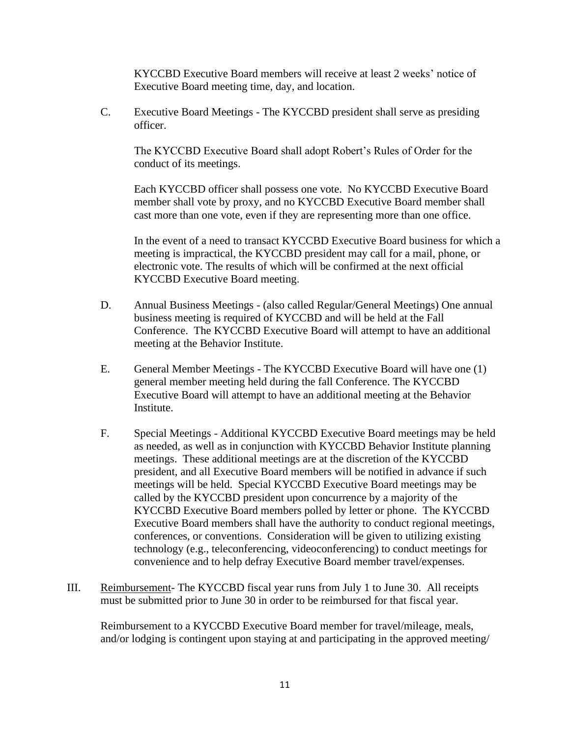KYCCBD Executive Board members will receive at least 2 weeks' notice of Executive Board meeting time, day, and location.

C. Executive Board Meetings - The KYCCBD president shall serve as presiding officer.

The KYCCBD Executive Board shall adopt Robert's Rules of Order for the conduct of its meetings.

Each KYCCBD officer shall possess one vote. No KYCCBD Executive Board member shall vote by proxy, and no KYCCBD Executive Board member shall cast more than one vote, even if they are representing more than one office.

In the event of a need to transact KYCCBD Executive Board business for which a meeting is impractical, the KYCCBD president may call for a mail, phone, or electronic vote. The results of which will be confirmed at the next official KYCCBD Executive Board meeting.

- D. Annual Business Meetings (also called Regular/General Meetings) One annual business meeting is required of KYCCBD and will be held at the Fall Conference. The KYCCBD Executive Board will attempt to have an additional meeting at the Behavior Institute.
- E. General Member Meetings The KYCCBD Executive Board will have one (1) general member meeting held during the fall Conference. The KYCCBD Executive Board will attempt to have an additional meeting at the Behavior Institute.
- F. Special Meetings Additional KYCCBD Executive Board meetings may be held as needed, as well as in conjunction with KYCCBD Behavior Institute planning meetings. These additional meetings are at the discretion of the KYCCBD president, and all Executive Board members will be notified in advance if such meetings will be held. Special KYCCBD Executive Board meetings may be called by the KYCCBD president upon concurrence by a majority of the KYCCBD Executive Board members polled by letter or phone. The KYCCBD Executive Board members shall have the authority to conduct regional meetings, conferences, or conventions. Consideration will be given to utilizing existing technology (e.g., teleconferencing, videoconferencing) to conduct meetings for convenience and to help defray Executive Board member travel/expenses.
- III. Reimbursement- The KYCCBD fiscal year runs from July 1 to June 30. All receipts must be submitted prior to June 30 in order to be reimbursed for that fiscal year.

Reimbursement to a KYCCBD Executive Board member for travel/mileage, meals, and/or lodging is contingent upon staying at and participating in the approved meeting/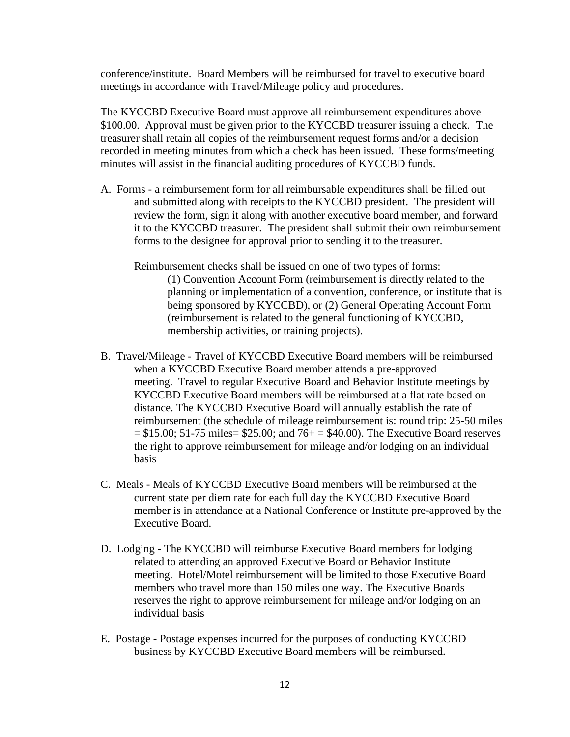conference/institute. Board Members will be reimbursed for travel to executive board meetings in accordance with Travel/Mileage policy and procedures.

The KYCCBD Executive Board must approve all reimbursement expenditures above \$100.00. Approval must be given prior to the KYCCBD treasurer issuing a check. The treasurer shall retain all copies of the reimbursement request forms and/or a decision recorded in meeting minutes from which a check has been issued. These forms/meeting minutes will assist in the financial auditing procedures of KYCCBD funds.

- A. Forms a reimbursement form for all reimbursable expenditures shall be filled out and submitted along with receipts to the KYCCBD president. The president will review the form, sign it along with another executive board member, and forward it to the KYCCBD treasurer. The president shall submit their own reimbursement forms to the designee for approval prior to sending it to the treasurer.
	- Reimbursement checks shall be issued on one of two types of forms: (1) Convention Account Form (reimbursement is directly related to the planning or implementation of a convention, conference, or institute that is being sponsored by KYCCBD), or (2) General Operating Account Form (reimbursement is related to the general functioning of KYCCBD, membership activities, or training projects).
- B. Travel/Mileage Travel of KYCCBD Executive Board members will be reimbursed when a KYCCBD Executive Board member attends a pre-approved meeting. Travel to regular Executive Board and Behavior Institute meetings by KYCCBD Executive Board members will be reimbursed at a flat rate based on distance. The KYCCBD Executive Board will annually establish the rate of reimbursement (the schedule of mileage reimbursement is: round trip: 25-50 miles  $= $15.00; 51-75 \text{ miles} = $25.00; \text{ and } 76+ = $40.00$ . The Executive Board reserves the right to approve reimbursement for mileage and/or lodging on an individual basis
- C. Meals Meals of KYCCBD Executive Board members will be reimbursed at the current state per diem rate for each full day the KYCCBD Executive Board member is in attendance at a National Conference or Institute pre-approved by the Executive Board.
- D. Lodging The KYCCBD will reimburse Executive Board members for lodging related to attending an approved Executive Board or Behavior Institute meeting. Hotel/Motel reimbursement will be limited to those Executive Board members who travel more than 150 miles one way. The Executive Boards reserves the right to approve reimbursement for mileage and/or lodging on an individual basis
- E. Postage Postage expenses incurred for the purposes of conducting KYCCBD business by KYCCBD Executive Board members will be reimbursed.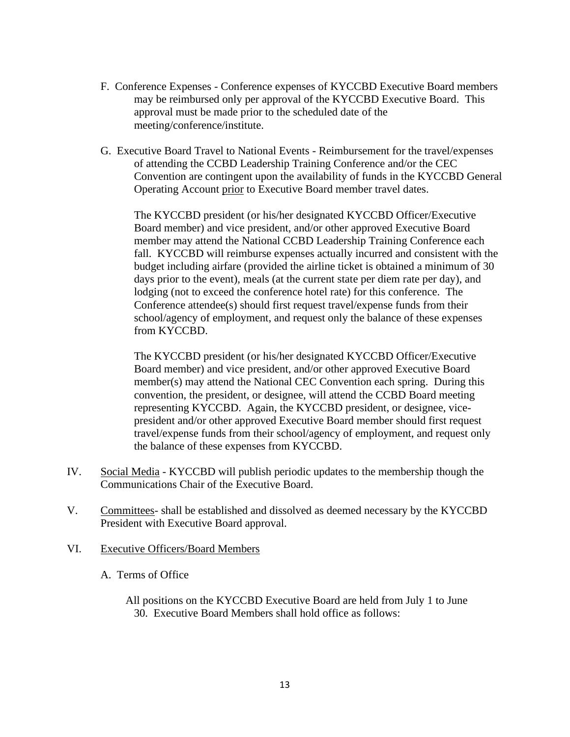- F. Conference Expenses Conference expenses of KYCCBD Executive Board members may be reimbursed only per approval of the KYCCBD Executive Board. This approval must be made prior to the scheduled date of the meeting/conference/institute.
- G. Executive Board Travel to National Events Reimbursement for the travel/expenses of attending the CCBD Leadership Training Conference and/or the CEC Convention are contingent upon the availability of funds in the KYCCBD General Operating Account prior to Executive Board member travel dates.

The KYCCBD president (or his/her designated KYCCBD Officer/Executive Board member) and vice president, and/or other approved Executive Board member may attend the National CCBD Leadership Training Conference each fall. KYCCBD will reimburse expenses actually incurred and consistent with the budget including airfare (provided the airline ticket is obtained a minimum of 30 days prior to the event), meals (at the current state per diem rate per day), and lodging (not to exceed the conference hotel rate) for this conference. The Conference attendee(s) should first request travel/expense funds from their school/agency of employment, and request only the balance of these expenses from KYCCBD.

The KYCCBD president (or his/her designated KYCCBD Officer/Executive Board member) and vice president, and/or other approved Executive Board member(s) may attend the National CEC Convention each spring. During this convention, the president, or designee, will attend the CCBD Board meeting representing KYCCBD. Again, the KYCCBD president, or designee, vicepresident and/or other approved Executive Board member should first request travel/expense funds from their school/agency of employment, and request only the balance of these expenses from KYCCBD.

- IV. Social Media KYCCBD will publish periodic updates to the membership though the Communications Chair of the Executive Board.
- V. Committees- shall be established and dissolved as deemed necessary by the KYCCBD President with Executive Board approval.
- VI. Executive Officers/Board Members
	- A. Terms of Office
		- All positions on the KYCCBD Executive Board are held from July 1 to June 30. Executive Board Members shall hold office as follows: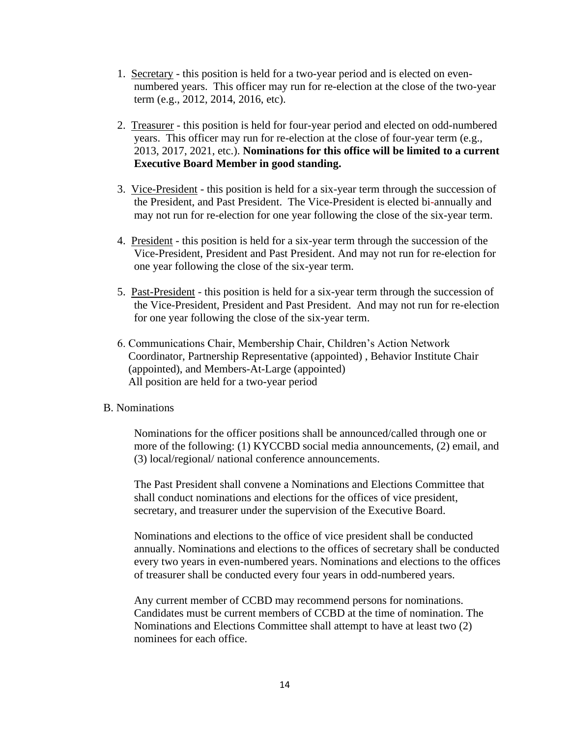- 1. Secretary this position is held for a two-year period and is elected on evennumbered years. This officer may run for re-election at the close of the two-year term (e.g., 2012, 2014, 2016, etc).
- 2. Treasurer this position is held for four-year period and elected on odd-numbered years. This officer may run for re-election at the close of four-year term (e.g., 2013, 2017, 2021, etc.). **Nominations for this office will be limited to a current Executive Board Member in good standing.**
- 3. Vice-President this position is held for a six-year term through the succession of the President, and Past President. The Vice-President is elected bi-annually and may not run for re-election for one year following the close of the six-year term.
- 4. President this position is held for a six-year term through the succession of the Vice-President, President and Past President. And may not run for re-election for one year following the close of the six-year term.
- 5. Past-President this position is held for a six-year term through the succession of the Vice-President, President and Past President. And may not run for re-election for one year following the close of the six-year term.
- 6. Communications Chair, Membership Chair, Children's Action Network Coordinator, Partnership Representative (appointed) , Behavior Institute Chair (appointed), and Members-At-Large (appointed) All position are held for a two-year period

#### B. Nominations

Nominations for the officer positions shall be announced/called through one or more of the following: (1) KYCCBD social media announcements, (2) email, and (3) local/regional/ national conference announcements.

The Past President shall convene a Nominations and Elections Committee that shall conduct nominations and elections for the offices of vice president, secretary, and treasurer under the supervision of the Executive Board.

Nominations and elections to the office of vice president shall be conducted annually. Nominations and elections to the offices of secretary shall be conducted every two years in even-numbered years. Nominations and elections to the offices of treasurer shall be conducted every four years in odd-numbered years.

Any current member of CCBD may recommend persons for nominations. Candidates must be current members of CCBD at the time of nomination. The Nominations and Elections Committee shall attempt to have at least two (2) nominees for each office.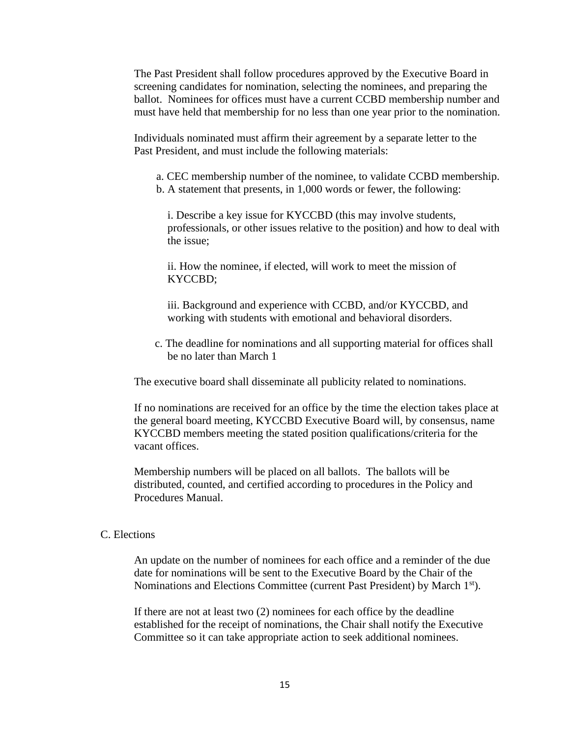The Past President shall follow procedures approved by the Executive Board in screening candidates for nomination, selecting the nominees, and preparing the ballot. Nominees for offices must have a current CCBD membership number and must have held that membership for no less than one year prior to the nomination.

Individuals nominated must affirm their agreement by a separate letter to the Past President, and must include the following materials:

a. CEC membership number of the nominee, to validate CCBD membership. b. A statement that presents, in 1,000 words or fewer, the following:

i. Describe a key issue for KYCCBD (this may involve students, professionals, or other issues relative to the position) and how to deal with the issue;

ii. How the nominee, if elected, will work to meet the mission of KYCCBD;

iii. Background and experience with CCBD, and/or KYCCBD, and working with students with emotional and behavioral disorders.

c. The deadline for nominations and all supporting material for offices shall be no later than March 1

The executive board shall disseminate all publicity related to nominations.

If no nominations are received for an office by the time the election takes place at the general board meeting, KYCCBD Executive Board will, by consensus, name KYCCBD members meeting the stated position qualifications/criteria for the vacant offices.

Membership numbers will be placed on all ballots. The ballots will be distributed, counted, and certified according to procedures in the Policy and Procedures Manual.

### C. Elections

An update on the number of nominees for each office and a reminder of the due date for nominations will be sent to the Executive Board by the Chair of the Nominations and Elections Committee (current Past President) by March 1<sup>st</sup>).

If there are not at least two (2) nominees for each office by the deadline established for the receipt of nominations, the Chair shall notify the Executive Committee so it can take appropriate action to seek additional nominees.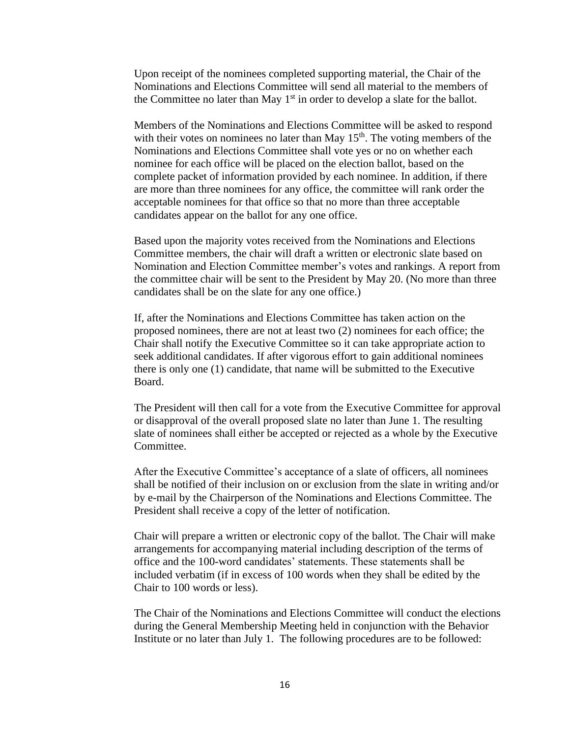Upon receipt of the nominees completed supporting material, the Chair of the Nominations and Elections Committee will send all material to the members of the Committee no later than May  $1<sup>st</sup>$  in order to develop a slate for the ballot.

Members of the Nominations and Elections Committee will be asked to respond with their votes on nominees no later than May  $15<sup>th</sup>$ . The voting members of the Nominations and Elections Committee shall vote yes or no on whether each nominee for each office will be placed on the election ballot, based on the complete packet of information provided by each nominee. In addition, if there are more than three nominees for any office, the committee will rank order the acceptable nominees for that office so that no more than three acceptable candidates appear on the ballot for any one office.

Based upon the majority votes received from the Nominations and Elections Committee members, the chair will draft a written or electronic slate based on Nomination and Election Committee member's votes and rankings. A report from the committee chair will be sent to the President by May 20. (No more than three candidates shall be on the slate for any one office.)

If, after the Nominations and Elections Committee has taken action on the proposed nominees, there are not at least two (2) nominees for each office; the Chair shall notify the Executive Committee so it can take appropriate action to seek additional candidates. If after vigorous effort to gain additional nominees there is only one (1) candidate, that name will be submitted to the Executive Board.

The President will then call for a vote from the Executive Committee for approval or disapproval of the overall proposed slate no later than June 1. The resulting slate of nominees shall either be accepted or rejected as a whole by the Executive Committee.

After the Executive Committee's acceptance of a slate of officers, all nominees shall be notified of their inclusion on or exclusion from the slate in writing and/or by e-mail by the Chairperson of the Nominations and Elections Committee. The President shall receive a copy of the letter of notification.

Chair will prepare a written or electronic copy of the ballot. The Chair will make arrangements for accompanying material including description of the terms of office and the 100-word candidates' statements. These statements shall be included verbatim (if in excess of 100 words when they shall be edited by the Chair to 100 words or less).

The Chair of the Nominations and Elections Committee will conduct the elections during the General Membership Meeting held in conjunction with the Behavior Institute or no later than July 1. The following procedures are to be followed: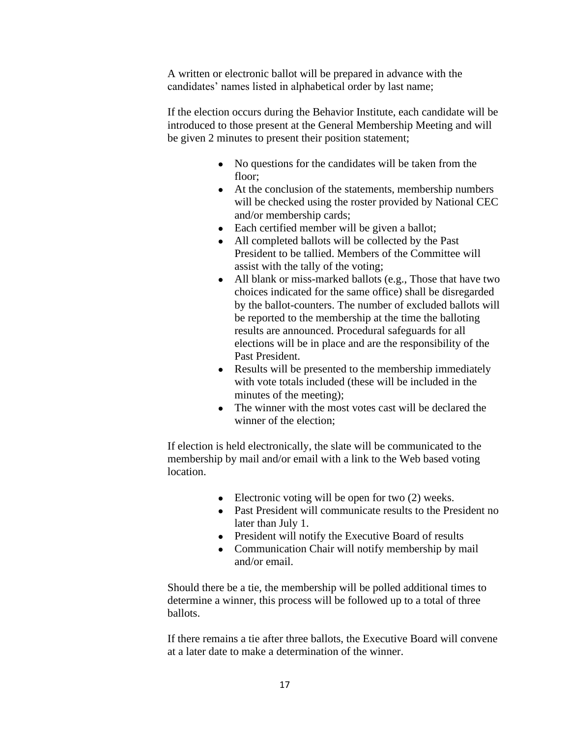A written or electronic ballot will be prepared in advance with the candidates' names listed in alphabetical order by last name;

If the election occurs during the Behavior Institute, each candidate will be introduced to those present at the General Membership Meeting and will be given 2 minutes to present their position statement;

- No questions for the candidates will be taken from the floor;
- At the conclusion of the statements, membership numbers will be checked using the roster provided by National CEC and/or membership cards;
- Each certified member will be given a ballot;
- All completed ballots will be collected by the Past President to be tallied. Members of the Committee will assist with the tally of the voting;
- All blank or miss-marked ballots (e.g., Those that have two choices indicated for the same office) shall be disregarded by the ballot-counters. The number of excluded ballots will be reported to the membership at the time the balloting results are announced. Procedural safeguards for all elections will be in place and are the responsibility of the Past President.
- Results will be presented to the membership immediately with vote totals included (these will be included in the minutes of the meeting);
- The winner with the most votes cast will be declared the winner of the election;

If election is held electronically, the slate will be communicated to the membership by mail and/or email with a link to the Web based voting location.

- Electronic voting will be open for two  $(2)$  weeks.
- Past President will communicate results to the President no later than July 1.
- President will notify the Executive Board of results
- Communication Chair will notify membership by mail and/or email.

Should there be a tie, the membership will be polled additional times to determine a winner, this process will be followed up to a total of three ballots.

If there remains a tie after three ballots, the Executive Board will convene at a later date to make a determination of the winner.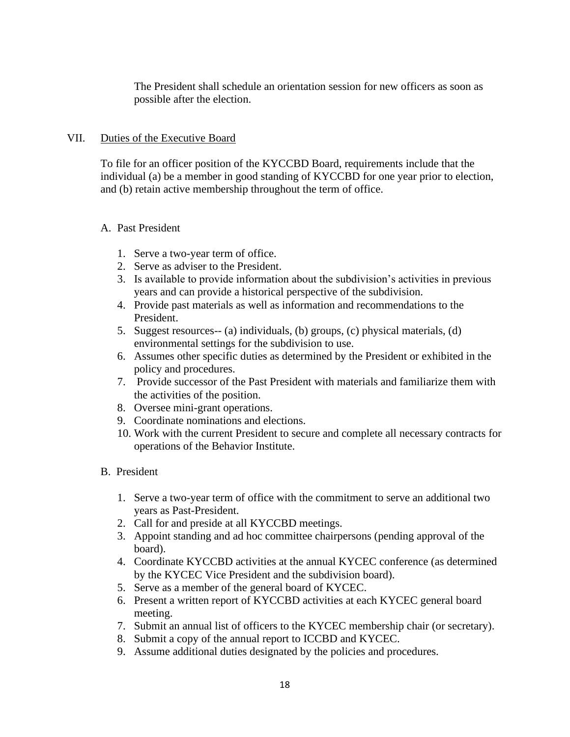The President shall schedule an orientation session for new officers as soon as possible after the election.

# VII. Duties of the Executive Board

 To file for an officer position of the KYCCBD Board, requirements include that the individual (a) be a member in good standing of KYCCBD for one year prior to election, and (b) retain active membership throughout the term of office.

# A. Past President

- 1. Serve a two-year term of office.
- 2. Serve as adviser to the President.
- 3. Is available to provide information about the subdivision's activities in previous years and can provide a historical perspective of the subdivision.
- 4. Provide past materials as well as information and recommendations to the President.
- 5. Suggest resources-- (a) individuals, (b) groups, (c) physical materials, (d) environmental settings for the subdivision to use.
- 6. Assumes other specific duties as determined by the President or exhibited in the policy and procedures.
- 7. Provide successor of the Past President with materials and familiarize them with the activities of the position.
- 8. Oversee mini-grant operations.
- 9. Coordinate nominations and elections.
- 10. Work with the current President to secure and complete all necessary contracts for operations of the Behavior Institute.

# B. President

- 1. Serve a two-year term of office with the commitment to serve an additional two years as Past-President.
- 2. Call for and preside at all KYCCBD meetings.
- 3. Appoint standing and ad hoc committee chairpersons (pending approval of the board).
- 4. Coordinate KYCCBD activities at the annual KYCEC conference (as determined by the KYCEC Vice President and the subdivision board).
- 5. Serve as a member of the general board of KYCEC.
- 6. Present a written report of KYCCBD activities at each KYCEC general board meeting.
- 7. Submit an annual list of officers to the KYCEC membership chair (or secretary).
- 8. Submit a copy of the annual report to ICCBD and KYCEC.
- 9. Assume additional duties designated by the policies and procedures.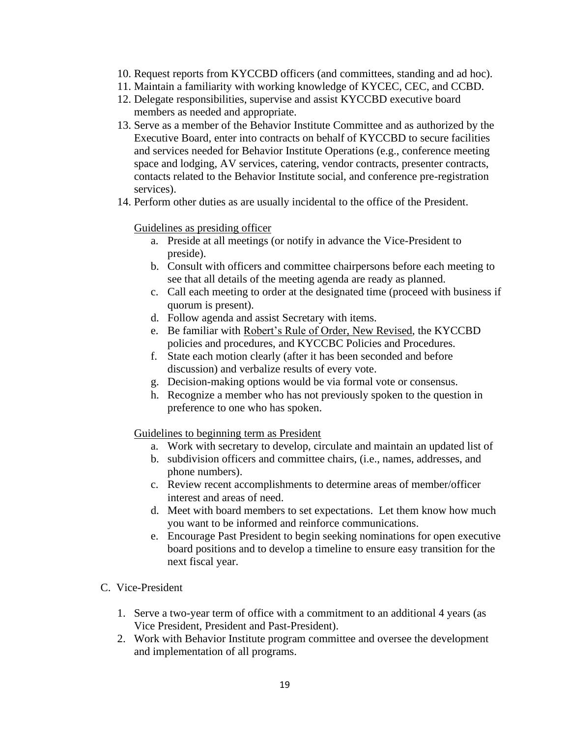- 10. Request reports from KYCCBD officers (and committees, standing and ad hoc).
- 11. Maintain a familiarity with working knowledge of KYCEC, CEC, and CCBD.
- 12. Delegate responsibilities, supervise and assist KYCCBD executive board members as needed and appropriate.
- 13. Serve as a member of the Behavior Institute Committee and as authorized by the Executive Board, enter into contracts on behalf of KYCCBD to secure facilities and services needed for Behavior Institute Operations (e.g., conference meeting space and lodging, AV services, catering, vendor contracts, presenter contracts, contacts related to the Behavior Institute social, and conference pre-registration services).
- 14. Perform other duties as are usually incidental to the office of the President.

#### Guidelines as presiding officer

- a. Preside at all meetings (or notify in advance the Vice-President to preside).
- b. Consult with officers and committee chairpersons before each meeting to see that all details of the meeting agenda are ready as planned.
- c. Call each meeting to order at the designated time (proceed with business if quorum is present).
- d. Follow agenda and assist Secretary with items.
- e. Be familiar with Robert's Rule of Order, New Revised, the KYCCBD policies and procedures, and KYCCBC Policies and Procedures.
- f. State each motion clearly (after it has been seconded and before discussion) and verbalize results of every vote.
- g. Decision-making options would be via formal vote or consensus.
- h. Recognize a member who has not previously spoken to the question in preference to one who has spoken.

Guidelines to beginning term as President

- a. Work with secretary to develop, circulate and maintain an updated list of
- b. subdivision officers and committee chairs, (i.e., names, addresses, and phone numbers).
- c. Review recent accomplishments to determine areas of member/officer interest and areas of need.
- d. Meet with board members to set expectations. Let them know how much you want to be informed and reinforce communications.
- e. Encourage Past President to begin seeking nominations for open executive board positions and to develop a timeline to ensure easy transition for the next fiscal year.
- C. Vice-President
	- 1. Serve a two-year term of office with a commitment to an additional 4 years (as Vice President, President and Past-President).
	- 2. Work with Behavior Institute program committee and oversee the development and implementation of all programs.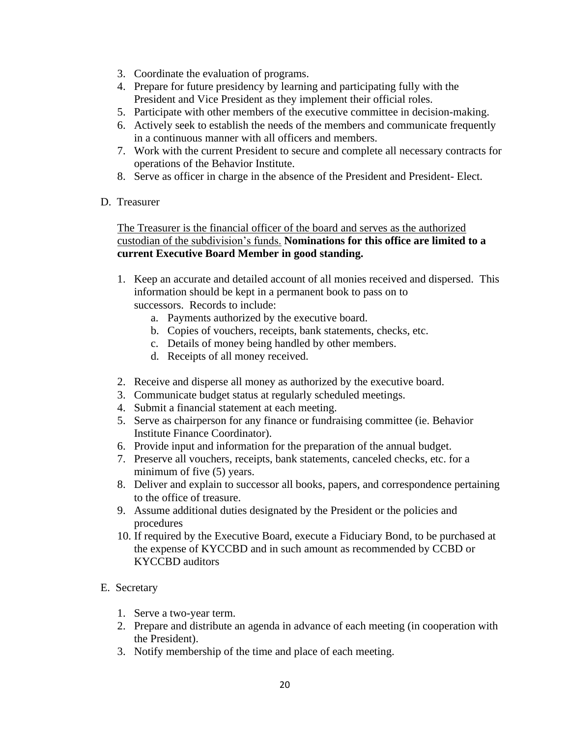- 3. Coordinate the evaluation of programs.
- 4. Prepare for future presidency by learning and participating fully with the President and Vice President as they implement their official roles.
- 5. Participate with other members of the executive committee in decision-making.
- 6. Actively seek to establish the needs of the members and communicate frequently in a continuous manner with all officers and members.
- 7. Work with the current President to secure and complete all necessary contracts for operations of the Behavior Institute.
- 8. Serve as officer in charge in the absence of the President and President- Elect.
- D. Treasurer

## The Treasurer is the financial officer of the board and serves as the authorized custodian of the subdivision's funds. **Nominations for this office are limited to a current Executive Board Member in good standing.**

- 1. Keep an accurate and detailed account of all monies received and dispersed. This information should be kept in a permanent book to pass on to successors. Records to include:
	- a. Payments authorized by the executive board.
	- b. Copies of vouchers, receipts, bank statements, checks, etc.
	- c. Details of money being handled by other members.
	- d. Receipts of all money received.
- 2. Receive and disperse all money as authorized by the executive board.
- 3. Communicate budget status at regularly scheduled meetings.
- 4. Submit a financial statement at each meeting.
- 5. Serve as chairperson for any finance or fundraising committee (ie. Behavior Institute Finance Coordinator).
- 6. Provide input and information for the preparation of the annual budget.
- 7. Preserve all vouchers, receipts, bank statements, canceled checks, etc. for a minimum of five (5) years.
- 8. Deliver and explain to successor all books, papers, and correspondence pertaining to the office of treasure.
- 9. Assume additional duties designated by the President or the policies and procedures
- 10. If required by the Executive Board, execute a Fiduciary Bond, to be purchased at the expense of KYCCBD and in such amount as recommended by CCBD or KYCCBD auditors
- E. Secretary
	- 1. Serve a two-year term.
	- 2. Prepare and distribute an agenda in advance of each meeting (in cooperation with the President).
	- 3. Notify membership of the time and place of each meeting.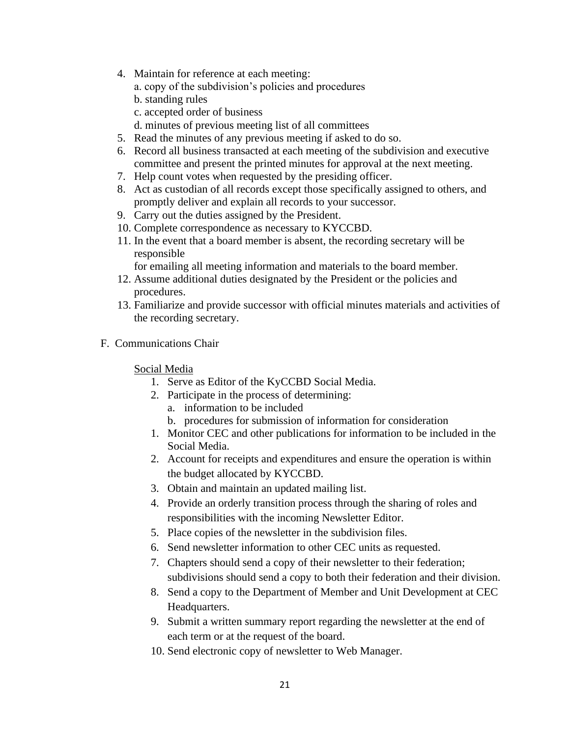- 4. Maintain for reference at each meeting:
	- a. copy of the subdivision's policies and procedures
	- b. standing rules
	- c. accepted order of business
	- d. minutes of previous meeting list of all committees
- 5. Read the minutes of any previous meeting if asked to do so.
- 6. Record all business transacted at each meeting of the subdivision and executive committee and present the printed minutes for approval at the next meeting.
- 7. Help count votes when requested by the presiding officer.
- 8. Act as custodian of all records except those specifically assigned to others, and promptly deliver and explain all records to your successor.
- 9. Carry out the duties assigned by the President.
- 10. Complete correspondence as necessary to KYCCBD.
- 11. In the event that a board member is absent, the recording secretary will be responsible
	- for emailing all meeting information and materials to the board member.
- 12. Assume additional duties designated by the President or the policies and procedures.
- 13. Familiarize and provide successor with official minutes materials and activities of the recording secretary.
- F. Communications Chair

#### Social Media

- 1. Serve as Editor of the KyCCBD Social Media.
- 2. Participate in the process of determining:
	- a. information to be included
	- b. procedures for submission of information for consideration
- 1. Monitor CEC and other publications for information to be included in the Social Media.
- 2. Account for receipts and expenditures and ensure the operation is within the budget allocated by KYCCBD.
- 3. Obtain and maintain an updated mailing list.
- 4. Provide an orderly transition process through the sharing of roles and responsibilities with the incoming Newsletter Editor.
- 5. Place copies of the newsletter in the subdivision files.
- 6. Send newsletter information to other CEC units as requested.
- 7. Chapters should send a copy of their newsletter to their federation; subdivisions should send a copy to both their federation and their division.
- 8. Send a copy to the Department of Member and Unit Development at CEC Headquarters.
- 9. Submit a written summary report regarding the newsletter at the end of each term or at the request of the board.
- 10. Send electronic copy of newsletter to Web Manager.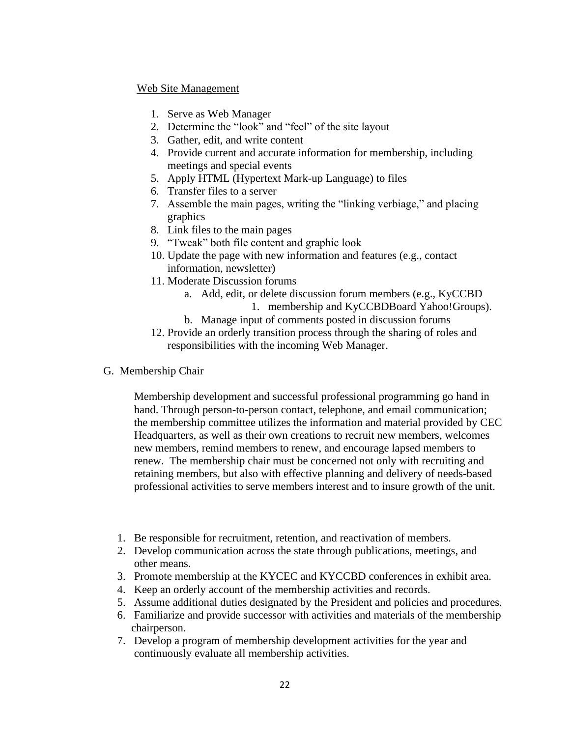#### Web Site Management

- 1. Serve as Web Manager
- 2. Determine the "look" and "feel" of the site layout
- 3. Gather, edit, and write content
- 4. Provide current and accurate information for membership, including meetings and special events
- 5. Apply HTML (Hypertext Mark-up Language) to files
- 6. Transfer files to a server
- 7. Assemble the main pages, writing the "linking verbiage," and placing graphics
- 8. Link files to the main pages
- 9. "Tweak" both file content and graphic look
- 10. Update the page with new information and features (e.g., contact information, newsletter)
- 11. Moderate Discussion forums
	- a. Add, edit, or delete discussion forum members (e.g., KyCCBD 1. membership and KyCCBDBoard Yahoo!Groups).
	- b. Manage input of comments posted in discussion forums
- 12. Provide an orderly transition process through the sharing of roles and responsibilities with the incoming Web Manager.
- G. Membership Chair

Membership development and successful professional programming go hand in hand. Through person-to-person contact, telephone, and email communication; the membership committee utilizes the information and material provided by CEC Headquarters, as well as their own creations to recruit new members, welcomes new members, remind members to renew, and encourage lapsed members to renew. The membership chair must be concerned not only with recruiting and retaining members, but also with effective planning and delivery of needs-based professional activities to serve members interest and to insure growth of the unit.

- 1. Be responsible for recruitment, retention, and reactivation of members.
- 2. Develop communication across the state through publications, meetings, and other means.
- 3. Promote membership at the KYCEC and KYCCBD conferences in exhibit area.
- 4. Keep an orderly account of the membership activities and records.
- 5. Assume additional duties designated by the President and policies and procedures.
- 6. Familiarize and provide successor with activities and materials of the membership chairperson.
- 7. Develop a program of membership development activities for the year and continuously evaluate all membership activities.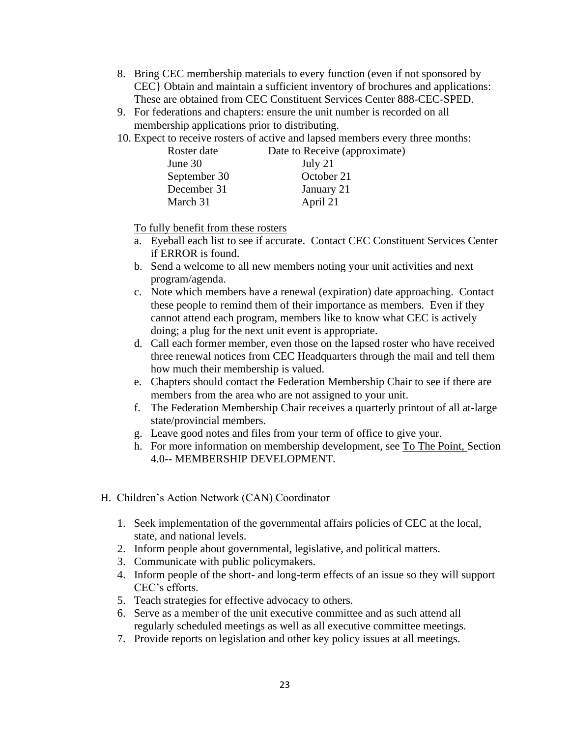- 8. Bring CEC membership materials to every function (even if not sponsored by CEC} Obtain and maintain a sufficient inventory of brochures and applications: These are obtained from CEC Constituent Services Center 888-CEC-SPED.
- 9. For federations and chapters: ensure the unit number is recorded on all membership applications prior to distributing.
- 10. Expect to receive rosters of active and lapsed members every three months:

| Roster date  | Date to Receive (approximate) |
|--------------|-------------------------------|
| June $30$    | July 21                       |
| September 30 | October 21                    |
| December 31  | January 21                    |
| March 31     | April 21                      |

To fully benefit from these rosters

- a. Eyeball each list to see if accurate. Contact CEC Constituent Services Center if ERROR is found.
- b. Send a welcome to all new members noting your unit activities and next program/agenda.
- c. Note which members have a renewal (expiration) date approaching. Contact these people to remind them of their importance as members. Even if they cannot attend each program, members like to know what CEC is actively doing; a plug for the next unit event is appropriate.
- d. Call each former member, even those on the lapsed roster who have received three renewal notices from CEC Headquarters through the mail and tell them how much their membership is valued.
- e. Chapters should contact the Federation Membership Chair to see if there are members from the area who are not assigned to your unit.
- f. The Federation Membership Chair receives a quarterly printout of all at-large state/provincial members.
- g. Leave good notes and files from your term of office to give your.
- h. For more information on membership development, see To The Point, Section 4.0-- MEMBERSHIP DEVELOPMENT.
- H. Children's Action Network (CAN) Coordinator
	- 1. Seek implementation of the governmental affairs policies of CEC at the local, state, and national levels.
	- 2. Inform people about governmental, legislative, and political matters.
	- 3. Communicate with public policymakers.
	- 4. Inform people of the short- and long-term effects of an issue so they will support CEC's efforts.
	- 5. Teach strategies for effective advocacy to others.
	- 6. Serve as a member of the unit executive committee and as such attend all regularly scheduled meetings as well as all executive committee meetings.
	- 7. Provide reports on legislation and other key policy issues at all meetings.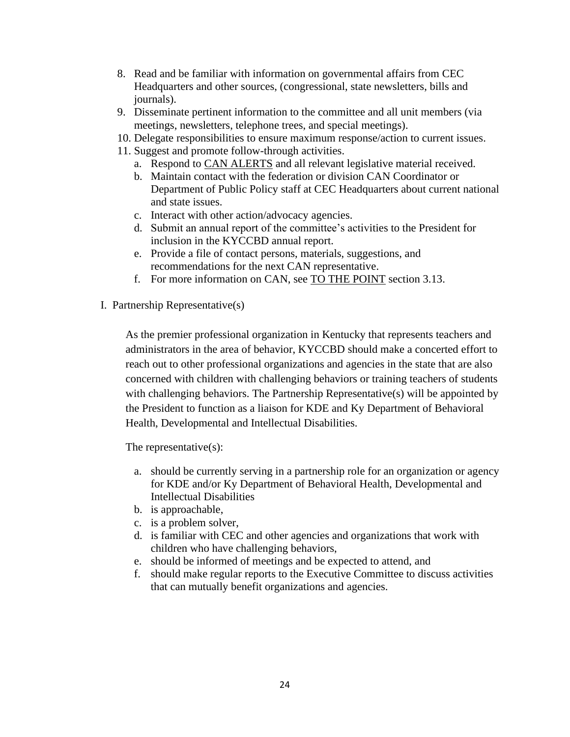- 8. Read and be familiar with information on governmental affairs from CEC Headquarters and other sources, (congressional, state newsletters, bills and journals).
- 9. Disseminate pertinent information to the committee and all unit members (via meetings, newsletters, telephone trees, and special meetings).
- 10. Delegate responsibilities to ensure maximum response/action to current issues.
- 11. Suggest and promote follow-through activities.
	- a. Respond to CAN ALERTS and all relevant legislative material received.
	- b. Maintain contact with the federation or division CAN Coordinator or Department of Public Policy staff at CEC Headquarters about current national and state issues.
	- c. Interact with other action/advocacy agencies.
	- d. Submit an annual report of the committee's activities to the President for inclusion in the KYCCBD annual report.
	- e. Provide a file of contact persons, materials, suggestions, and recommendations for the next CAN representative.
	- f. For more information on CAN, see TO THE POINT section 3.13.
- I. Partnership Representative(s)

As the premier professional organization in Kentucky that represents teachers and administrators in the area of behavior, KYCCBD should make a concerted effort to reach out to other professional organizations and agencies in the state that are also concerned with children with challenging behaviors or training teachers of students with challenging behaviors. The Partnership Representative(s) will be appointed by the President to function as a liaison for KDE and Ky Department of Behavioral Health, Developmental and Intellectual Disabilities.

The representative(s):

- a. should be currently serving in a partnership role for an organization or agency for KDE and/or Ky Department of Behavioral Health, Developmental and Intellectual Disabilities
- b. is approachable,
- c. is a problem solver,
- d. is familiar with CEC and other agencies and organizations that work with children who have challenging behaviors,
- e. should be informed of meetings and be expected to attend, and
- f. should make regular reports to the Executive Committee to discuss activities that can mutually benefit organizations and agencies.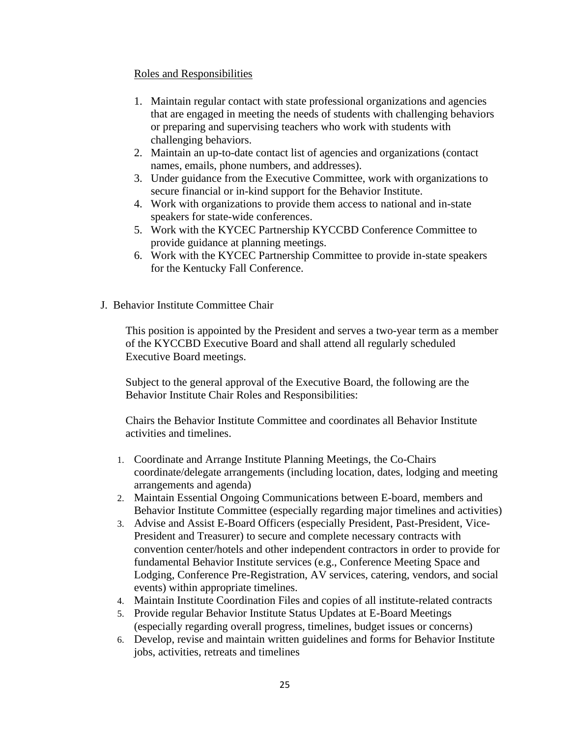### Roles and Responsibilities

- 1. Maintain regular contact with state professional organizations and agencies that are engaged in meeting the needs of students with challenging behaviors or preparing and supervising teachers who work with students with challenging behaviors.
- 2. Maintain an up-to-date contact list of agencies and organizations (contact names, emails, phone numbers, and addresses).
- 3. Under guidance from the Executive Committee, work with organizations to secure financial or in-kind support for the Behavior Institute.
- 4. Work with organizations to provide them access to national and in-state speakers for state-wide conferences.
- 5. Work with the KYCEC Partnership KYCCBD Conference Committee to provide guidance at planning meetings.
- 6. Work with the KYCEC Partnership Committee to provide in-state speakers for the Kentucky Fall Conference.
- J. Behavior Institute Committee Chair

This position is appointed by the President and serves a two-year term as a member of the KYCCBD Executive Board and shall attend all regularly scheduled Executive Board meetings.

Subject to the general approval of the Executive Board, the following are the Behavior Institute Chair Roles and Responsibilities:

Chairs the Behavior Institute Committee and coordinates all Behavior Institute activities and timelines.

- 1. Coordinate and Arrange Institute Planning Meetings, the Co-Chairs coordinate/delegate arrangements (including location, dates, lodging and meeting arrangements and agenda)
- 2. Maintain Essential Ongoing Communications between E-board, members and Behavior Institute Committee (especially regarding major timelines and activities)
- 3. Advise and Assist E-Board Officers (especially President, Past-President, Vice-President and Treasurer) to secure and complete necessary contracts with convention center/hotels and other independent contractors in order to provide for fundamental Behavior Institute services (e.g., Conference Meeting Space and Lodging, Conference Pre-Registration, AV services, catering, vendors, and social events) within appropriate timelines.
- 4. Maintain Institute Coordination Files and copies of all institute-related contracts
- 5. Provide regular Behavior Institute Status Updates at E-Board Meetings (especially regarding overall progress, timelines, budget issues or concerns)
- 6. Develop, revise and maintain written guidelines and forms for Behavior Institute jobs, activities, retreats and timelines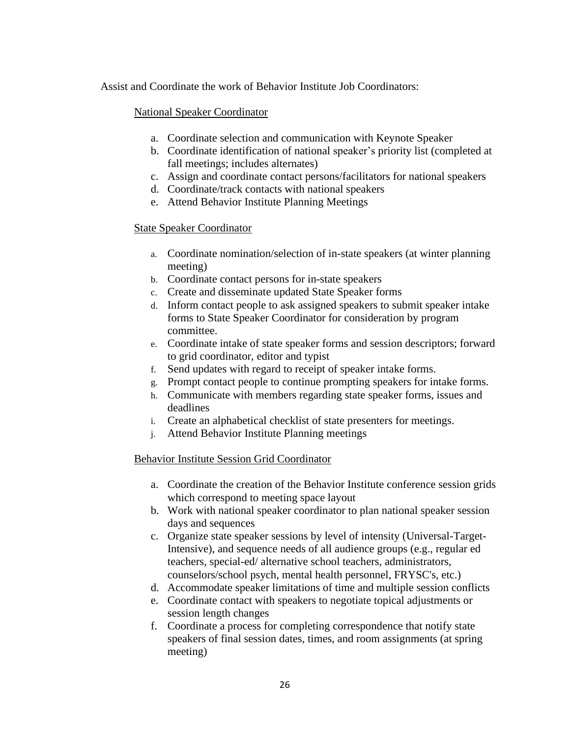Assist and Coordinate the work of Behavior Institute Job Coordinators:

## National Speaker Coordinator

- a. Coordinate selection and communication with Keynote Speaker
- b. Coordinate identification of national speaker's priority list (completed at fall meetings; includes alternates)
- c. Assign and coordinate contact persons/facilitators for national speakers
- d. Coordinate/track contacts with national speakers
- e. Attend Behavior Institute Planning Meetings

## State Speaker Coordinator

- a. Coordinate nomination/selection of in-state speakers (at winter planning meeting)
- b. Coordinate contact persons for in-state speakers
- c. Create and disseminate updated State Speaker forms
- d. Inform contact people to ask assigned speakers to submit speaker intake forms to State Speaker Coordinator for consideration by program committee.
- e. Coordinate intake of state speaker forms and session descriptors; forward to grid coordinator, editor and typist
- f. Send updates with regard to receipt of speaker intake forms.
- g. Prompt contact people to continue prompting speakers for intake forms.
- h. Communicate with members regarding state speaker forms, issues and deadlines
- i. Create an alphabetical checklist of state presenters for meetings.
- j. Attend Behavior Institute Planning meetings

# Behavior Institute Session Grid Coordinator

- a. Coordinate the creation of the Behavior Institute conference session grids which correspond to meeting space layout
- b. Work with national speaker coordinator to plan national speaker session days and sequences
- c. Organize state speaker sessions by level of intensity (Universal-Target-Intensive), and sequence needs of all audience groups (e.g., regular ed teachers, special-ed/ alternative school teachers, administrators, counselors/school psych, mental health personnel, FRYSC's, etc.)
- d. Accommodate speaker limitations of time and multiple session conflicts
- e. Coordinate contact with speakers to negotiate topical adjustments or session length changes
- f. Coordinate a process for completing correspondence that notify state speakers of final session dates, times, and room assignments (at spring meeting)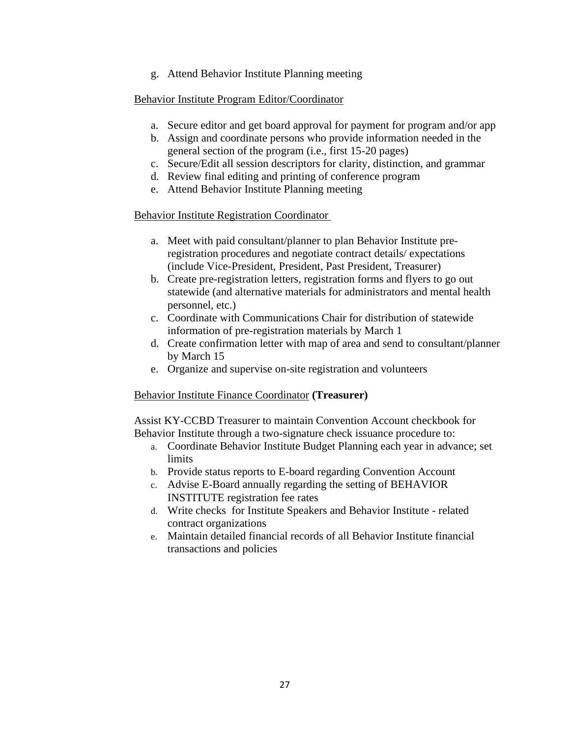g. Attend Behavior Institute Planning meeting

## Behavior Institute Program Editor/Coordinator

- a. Secure editor and get board approval for payment for program and/or app
- b. Assign and coordinate persons who provide information needed in the general section of the program (i.e., first 15-20 pages)
- c. Secure/Edit all session descriptors for clarity, distinction, and grammar
- d. Review final editing and printing of conference program
- e. Attend Behavior Institute Planning meeting

### Behavior Institute Registration Coordinator

- a. Meet with paid consultant/planner to plan Behavior Institute preregistration procedures and negotiate contract details/ expectations (include Vice-President, President, Past President, Treasurer)
- b. Create pre-registration letters, registration forms and flyers to go out statewide (and alternative materials for administrators and mental health personnel, etc.)
- c. Coordinate with Communications Chair for distribution of statewide information of pre-registration materials by March 1
- d. Create confirmation letter with map of area and send to consultant/planner by March 15
- e. Organize and supervise on-site registration and volunteers

# Behavior Institute Finance Coordinator **(Treasurer)**

Assist KY-CCBD Treasurer to maintain Convention Account checkbook for Behavior Institute through a two-signature check issuance procedure to:

- a. Coordinate Behavior Institute Budget Planning each year in advance; set limits
- b. Provide status reports to E-board regarding Convention Account
- c. Advise E-Board annually regarding the setting of BEHAVIOR INSTITUTE registration fee rates
- d. Write checks for Institute Speakers and Behavior Institute related contract organizations
- e. Maintain detailed financial records of all Behavior Institute financial transactions and policies